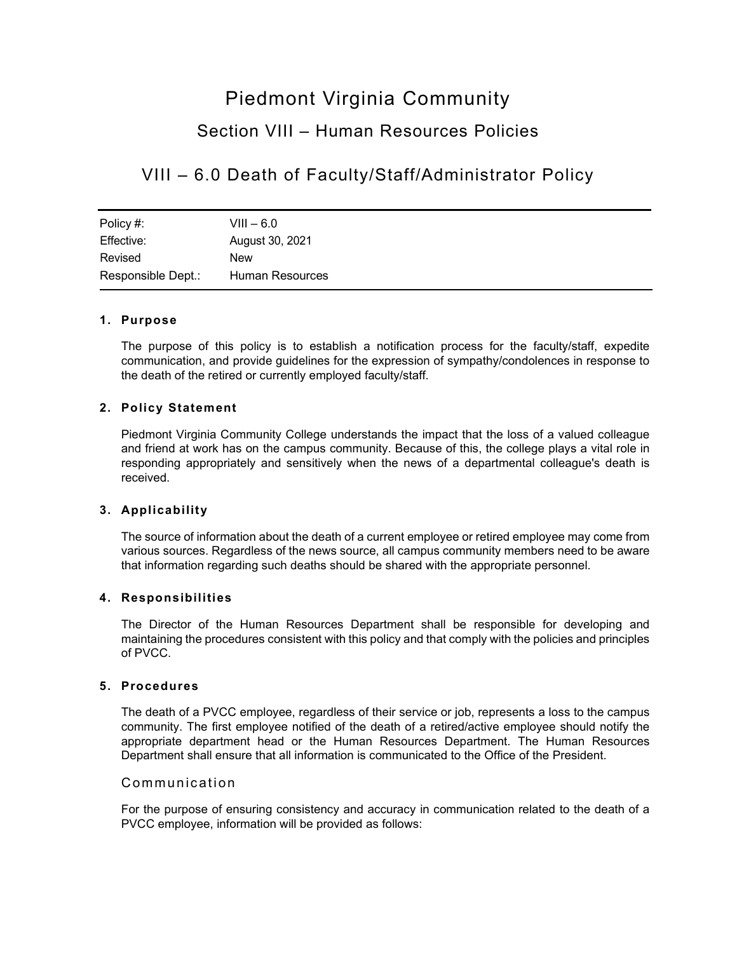# Piedmont Virginia Community Section VIII – Human Resources Policies

# VIII – 6.0 Death of Faculty/Staff/Administrator Policy

| Policy #:          | $VIII - 6.0$    |
|--------------------|-----------------|
| Effective:         | August 30, 2021 |
| Revised            | New             |
| Responsible Dept.: | Human Resources |

## **1. Purpose**

The purpose of this policy is to establish a notification process for the faculty/staff, expedite communication, and provide guidelines for the expression of sympathy/condolences in response to the death of the retired or currently employed faculty/staff.

## **2. Policy Statement**

Piedmont Virginia Community College understands the impact that the loss of a valued colleague and friend at work has on the campus community. Because of this, the college plays a vital role in responding appropriately and sensitively when the news of a departmental colleague's death is received.

#### **3. Applicability**

The source of information about the death of a current employee or retired employee may come from various sources. Regardless of the news source, all campus community members need to be aware that information regarding such deaths should be shared with the appropriate personnel.

#### **4. Responsibilities**

The Director of the Human Resources Department shall be responsible for developing and maintaining the procedures consistent with this policy and that comply with the policies and principles of PVCC.

# **5. Procedures**

The death of a PVCC employee, regardless of their service or job, represents a loss to the campus community. The first employee notified of the death of a retired/active employee should notify the appropriate department head or the Human Resources Department. The Human Resources Department shall ensure that all information is communicated to the Office of the President.

#### Communication

For the purpose of ensuring consistency and accuracy in communication related to the death of a PVCC employee, information will be provided as follows: